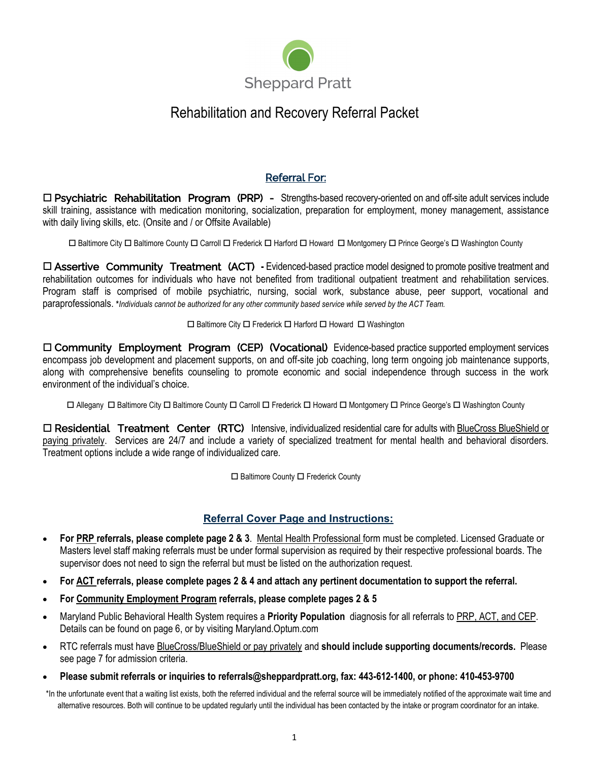

# Rehabilitation and Recovery Referral Packet

## Referral For:

 Psychiatric Rehabilitation Program (PRP) - Strengths-based recovery-oriented on and off-site adult services include skill training, assistance with medication monitoring, socialization, preparation for employment, money management, assistance with daily living skills, etc. (Onsite and / or Offsite Available)

Baltimore City Baltimore County Carroll Frederick Harford Howard Montgomery Prince George's Washington County

 Assertive Community Treatment (ACT) **-** Evidenced-based practice model designed to promote positive treatment and rehabilitation outcomes for individuals who have not benefited from traditional outpatient treatment and rehabilitation services. Program staff is comprised of mobile psychiatric, nursing, social work, substance abuse, peer support, vocational and paraprofessionals. **\****Individuals cannot be authorized for any other community based service while served by the ACT Team.* 

 $\Box$  Baltimore City  $\Box$  Frederick  $\Box$  Harford  $\Box$  Howard  $\Box$  Washington

□ Community Employment Program (CEP) (Vocational) Evidence-based practice supported employment services encompass job development and placement supports, on and off-site job coaching, long term ongoing job maintenance supports, along with comprehensive benefits counseling to promote economic and social independence through success in the work environment of the individual's choice.

Allegany Baltimore City Baltimore County Carroll Frederick Howard Montgomery Prince George's Washington County

□ Residential Treatment Center (RTC) Intensive, individualized residential care for adults with BlueCross BlueShield or paying privately. Services are 24/7 and include a variety of specialized treatment for mental health and behavioral disorders. Treatment options include a wide range of individualized care.

□ Baltimore County □ Frederick County

### **Referral Cover Page and Instructions:**

- **For PRP referrals, please complete page 2 & 3**. Mental Health Professional form must be completed. Licensed Graduate or Masters level staff making referrals must be under formal supervision as required by their respective professional boards. The supervisor does not need to sign the referral but must be listed on the authorization request.
- **For ACT referrals, please complete pages 2 & 4 and attach any pertinent documentation to support the referral.**
- **For Community Employment Program referrals, please complete pages 2 & 5**
- Maryland Public Behavioral Health System requires a **Priority Population** diagnosis for all referrals to PRP, ACT, and CEP. Details can be found on page 6, or by visiting Maryland.Optum.com
- RTC referrals must have BlueCross/BlueShield or pay privately and **should include supporting documents/records.** Please see page 7 for admission criteria.
- **Please submit referrals or inquiries to referrals@sheppardpratt.org, fax: 443-612-1400, or phone: 410-453-9700**

\*In the unfortunate event that a waiting list exists, both the referred individual and the referral source will be immediately notified of the approximate wait time and alternative resources. Both will continue to be updated regularly until the individual has been contacted by the intake or program coordinator for an intake.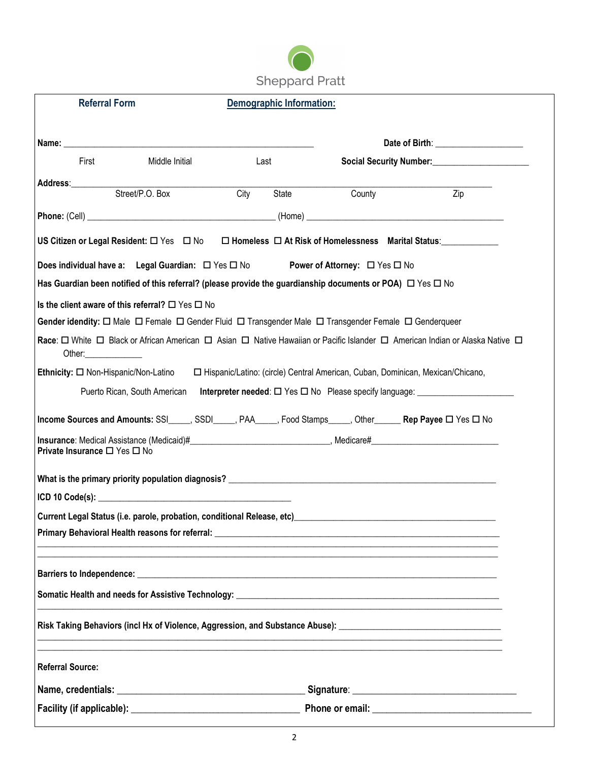

| <b>Referral Form</b>         |                                                                                                                                     | Demographic Information: |                 |                                                                                                                                |
|------------------------------|-------------------------------------------------------------------------------------------------------------------------------------|--------------------------|-----------------|--------------------------------------------------------------------------------------------------------------------------------|
|                              |                                                                                                                                     |                          |                 |                                                                                                                                |
|                              |                                                                                                                                     |                          |                 | Date of Birth: ____________________                                                                                            |
| First                        | Middle Initial                                                                                                                      | Last                     |                 | Social Security Number:<br><u> Social Security Number:</u>                                                                     |
| Address:___________          | Street/P.O. Box                                                                                                                     | City                     | County<br>State | Zip                                                                                                                            |
|                              |                                                                                                                                     |                          |                 |                                                                                                                                |
|                              |                                                                                                                                     |                          |                 |                                                                                                                                |
|                              |                                                                                                                                     |                          |                 | US Citizen or Legal Resident: □ Yes □ No □ Homeless □ At Risk of Homelessness Marital Status: ___________                      |
|                              | Does individual have a: Legal Guardian: □ Yes □ No Power of Attorney: □ Yes □ No                                                    |                          |                 |                                                                                                                                |
|                              | Has Guardian been notified of this referral? (please provide the guardianship documents or POA) $\Box$ Yes $\Box$ No                |                          |                 |                                                                                                                                |
|                              | Is the client aware of this referral? $\square$ Yes $\square$ No                                                                    |                          |                 |                                                                                                                                |
|                              | Gender idendity: $\Box$ Male $\Box$ Female $\Box$ Gender Fluid $\Box$ Transgender Male $\Box$ Transgender Female $\Box$ Genderqueer |                          |                 |                                                                                                                                |
| Other: _______________       |                                                                                                                                     |                          |                 | Race: O White O Black or African American O Asian O Native Hawaiian or Pacific Islander O American Indian or Alaska Native O   |
|                              |                                                                                                                                     |                          |                 |                                                                                                                                |
|                              | Puerto Rican, South American                                                                                                        |                          |                 |                                                                                                                                |
| Private Insurance □ Yes □ No |                                                                                                                                     |                          |                 | Income Sources and Amounts: SSI_____, SSDI_____, PAA_____, Food Stamps_____, Other______ Rep Payee $\Box$ Yes $\Box$ No        |
|                              |                                                                                                                                     |                          |                 |                                                                                                                                |
|                              |                                                                                                                                     |                          |                 |                                                                                                                                |
|                              |                                                                                                                                     |                          |                 |                                                                                                                                |
|                              |                                                                                                                                     |                          |                 |                                                                                                                                |
|                              |                                                                                                                                     |                          |                 |                                                                                                                                |
|                              |                                                                                                                                     |                          |                 |                                                                                                                                |
|                              |                                                                                                                                     |                          |                 |                                                                                                                                |
|                              |                                                                                                                                     |                          |                 |                                                                                                                                |
|                              |                                                                                                                                     |                          |                 | Risk Taking Behaviors (incl Hx of Violence, Aggression, and Substance Abuse): [11] North Mariness Matter and Substance Abuse): |
| <b>Referral Source:</b>      |                                                                                                                                     |                          |                 |                                                                                                                                |
|                              |                                                                                                                                     |                          |                 |                                                                                                                                |
|                              |                                                                                                                                     |                          |                 |                                                                                                                                |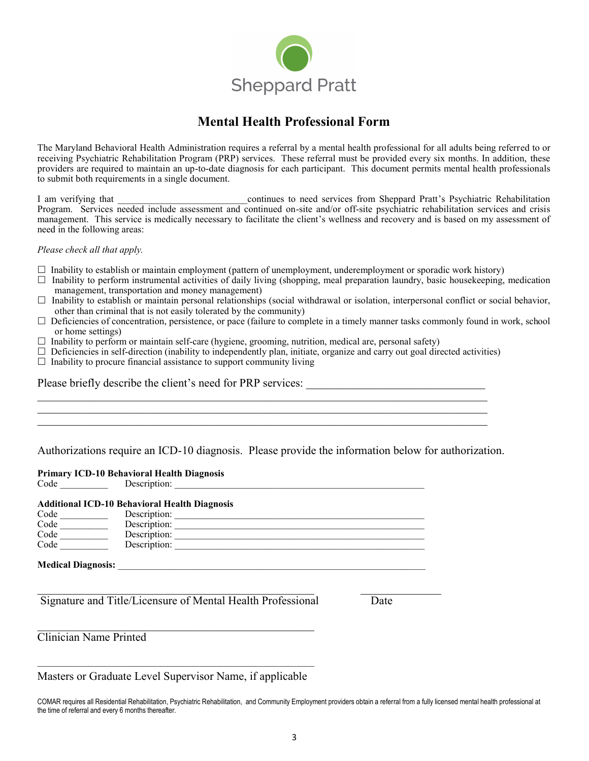

## **Mental Health Professional Form**

The Maryland Behavioral Health Administration requires a referral by a mental health professional for all adults being referred to or receiving Psychiatric Rehabilitation Program (PRP) services. These referral must be provided every six months. In addition, these providers are required to maintain an up-to-date diagnosis for each participant. This document permits mental health professionals to submit both requirements in a single document.

I am verifying that \_\_\_\_\_\_\_\_\_\_\_\_\_\_\_\_\_\_\_\_\_\_\_\_\_\_\_continues to need services from Sheppard Pratt's Psychiatric Rehabilitation Program. Services needed include assessment and continued on-site and/or off-site psychiatric rehabilitation services and crisis management. This service is medically necessary to facilitate the client's wellness and recovery and is based on my assessment of need in the following areas:

#### *Please check all that apply.*

- $\Box$  Inability to establish or maintain employment (pattern of unemployment, underemployment or sporadic work history)
- $\Box$  Inability to perform instrumental activities of daily living (shopping, meal preparation laundry, basic housekeeping, medication management, transportation and money management)
- $\Box$  Inability to establish or maintain personal relationships (social withdrawal or isolation, interpersonal conflict or social behavior, other than criminal that is not easily tolerated by the community)
- $\Box$  Deficiencies of concentration, persistence, or pace (failure to complete in a timely manner tasks commonly found in work, school or home settings)
- $\Box$  Inability to perform or maintain self-care (hygiene, grooming, nutrition, medical are, personal safety)
- $\Box$  Deficiencies in self-direction (inability to independently plan, initiate, organize and carry out goal directed activities)
- $\Box$  Inability to procure financial assistance to support community living

Please briefly describe the client's need for PRP services:

Authorizations require an ICD-10 diagnosis. Please provide the information below for authorization.

### **Primary ICD-10 Behavioral Health Diagnosis**

Code \_\_\_\_\_\_\_\_\_\_ Description: \_\_\_\_\_\_\_\_\_\_\_\_\_\_\_\_\_\_\_\_\_\_\_\_\_\_\_\_\_\_\_\_\_\_\_\_\_\_\_\_\_\_\_\_\_\_\_\_\_\_\_\_

### **Additional ICD-10 Behavioral Health Diagnosis**

| Code | Description: |
|------|--------------|
| Code | Description: |
| Code | Description: |
| Code | Description: |
|      |              |

#### **Medical Diagnosis:**

Signature and Title/Licensure of Mental Health Professional Date

Clinician Name Printed

\_\_\_\_\_\_\_\_\_\_\_\_\_\_\_\_\_\_\_\_\_\_\_\_\_\_\_\_\_\_\_\_\_\_\_\_\_\_\_\_\_\_\_\_\_\_\_\_\_\_\_\_\_\_\_\_\_\_\_\_\_\_\_\_\_\_\_\_\_\_\_\_\_\_\_\_\_\_\_ Masters or Graduate Level Supervisor Name, if applicable

COMAR requires all Residential Rehabilitation, Psychiatric Rehabilitation, and Community Employment providers obtain a referral from a fully licensed mental health professional at the time of referral and every 6 months thereafter.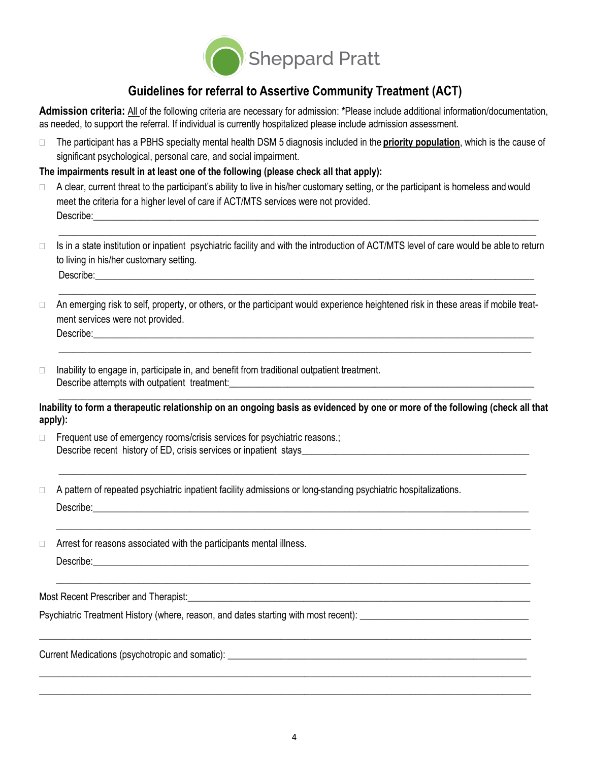

# **Guidelines for referral to Assertive Community Treatment (ACT)**

**Admission criteria:** All of the following criteria are necessary for admission: **\***Please include additional information/documentation, as needed, to support the referral. If individual is currently hospitalized please include admission assessment.

 The participant has a PBHS specialty mental health DSM 5 diagnosis included in the **priority population**, which is the cause of significant psychological, personal care, and social impairment.

### **The impairments result in at least one of the following (please check all that apply):**

 A clear, current threat to the participant's ability to live in his/her customary setting, or the participant is homeless andwould meet the criteria for a higher level of care if ACT/MTS services were not provided. Describe:

 $\overline{\phantom{a}}$  ,  $\overline{\phantom{a}}$  ,  $\overline{\phantom{a}}$  ,  $\overline{\phantom{a}}$  ,  $\overline{\phantom{a}}$  ,  $\overline{\phantom{a}}$  ,  $\overline{\phantom{a}}$  ,  $\overline{\phantom{a}}$  ,  $\overline{\phantom{a}}$  ,  $\overline{\phantom{a}}$  ,  $\overline{\phantom{a}}$  ,  $\overline{\phantom{a}}$  ,  $\overline{\phantom{a}}$  ,  $\overline{\phantom{a}}$  ,  $\overline{\phantom{a}}$  ,  $\overline{\phantom{a}}$ 

- $\Box$  Is in a state institution or inpatient psychiatric facility and with the introduction of ACT/MTS level of care would be able to return to living in his/her customary setting. Describe:
- □ An emerging risk to self, property, or others, or the participant would experience heightened risk in these areas if mobile treatment services were not provided. Describe:

 $\overline{\phantom{a}}$  ,  $\overline{\phantom{a}}$  ,  $\overline{\phantom{a}}$  ,  $\overline{\phantom{a}}$  ,  $\overline{\phantom{a}}$  ,  $\overline{\phantom{a}}$  ,  $\overline{\phantom{a}}$  ,  $\overline{\phantom{a}}$  ,  $\overline{\phantom{a}}$  ,  $\overline{\phantom{a}}$  ,  $\overline{\phantom{a}}$  ,  $\overline{\phantom{a}}$  ,  $\overline{\phantom{a}}$  ,  $\overline{\phantom{a}}$  ,  $\overline{\phantom{a}}$  ,  $\overline{\phantom{a}}$ 

 $\overline{\phantom{a}}$  ,  $\overline{\phantom{a}}$  ,  $\overline{\phantom{a}}$  ,  $\overline{\phantom{a}}$  ,  $\overline{\phantom{a}}$  ,  $\overline{\phantom{a}}$  ,  $\overline{\phantom{a}}$  ,  $\overline{\phantom{a}}$  ,  $\overline{\phantom{a}}$  ,  $\overline{\phantom{a}}$  ,  $\overline{\phantom{a}}$  ,  $\overline{\phantom{a}}$  ,  $\overline{\phantom{a}}$  ,  $\overline{\phantom{a}}$  ,  $\overline{\phantom{a}}$  ,  $\overline{\phantom{a}}$ 

 $\overline{\phantom{a}}$  ,  $\overline{\phantom{a}}$  ,  $\overline{\phantom{a}}$  ,  $\overline{\phantom{a}}$  ,  $\overline{\phantom{a}}$  ,  $\overline{\phantom{a}}$  ,  $\overline{\phantom{a}}$  ,  $\overline{\phantom{a}}$  ,  $\overline{\phantom{a}}$  ,  $\overline{\phantom{a}}$  ,  $\overline{\phantom{a}}$  ,  $\overline{\phantom{a}}$  ,  $\overline{\phantom{a}}$  ,  $\overline{\phantom{a}}$  ,  $\overline{\phantom{a}}$  ,  $\overline{\phantom{a}}$ 

 $\frac{1}{\sqrt{2}}$  ,  $\frac{1}{\sqrt{2}}$  ,  $\frac{1}{\sqrt{2}}$  ,  $\frac{1}{\sqrt{2}}$  ,  $\frac{1}{\sqrt{2}}$  ,  $\frac{1}{\sqrt{2}}$  ,  $\frac{1}{\sqrt{2}}$  ,  $\frac{1}{\sqrt{2}}$  ,  $\frac{1}{\sqrt{2}}$  ,  $\frac{1}{\sqrt{2}}$  ,  $\frac{1}{\sqrt{2}}$  ,  $\frac{1}{\sqrt{2}}$  ,  $\frac{1}{\sqrt{2}}$  ,  $\frac{1}{\sqrt{2}}$  ,  $\frac{1}{\sqrt{2}}$ 

 $\frac{1}{\sqrt{2}}$  ,  $\frac{1}{\sqrt{2}}$  ,  $\frac{1}{\sqrt{2}}$  ,  $\frac{1}{\sqrt{2}}$  ,  $\frac{1}{\sqrt{2}}$  ,  $\frac{1}{\sqrt{2}}$  ,  $\frac{1}{\sqrt{2}}$  ,  $\frac{1}{\sqrt{2}}$  ,  $\frac{1}{\sqrt{2}}$  ,  $\frac{1}{\sqrt{2}}$  ,  $\frac{1}{\sqrt{2}}$  ,  $\frac{1}{\sqrt{2}}$  ,  $\frac{1}{\sqrt{2}}$  ,  $\frac{1}{\sqrt{2}}$  ,  $\frac{1}{\sqrt{2}}$ 

\_\_\_\_\_\_\_\_\_\_\_\_\_\_\_\_\_\_\_\_\_\_\_\_\_\_\_\_\_\_\_\_\_\_\_\_\_\_\_\_\_\_\_\_\_\_\_\_\_\_\_\_\_\_\_\_\_\_\_\_\_\_\_\_\_\_\_\_\_\_\_\_\_\_\_\_\_\_\_\_\_\_\_\_\_\_\_\_\_\_\_\_\_\_\_\_\_\_\_\_\_\_

\_\_\_\_\_\_\_\_\_\_\_\_\_\_\_\_\_\_\_\_\_\_\_\_\_\_\_\_\_\_\_\_\_\_\_\_\_\_\_\_\_\_\_\_\_\_\_\_\_\_\_\_\_\_\_\_\_\_\_\_\_\_\_\_\_\_\_\_\_\_\_\_\_\_\_\_\_\_\_\_\_\_\_\_\_\_\_\_\_\_\_\_\_\_\_\_\_\_\_\_\_\_ \_\_\_\_\_\_\_\_\_\_\_\_\_\_\_\_\_\_\_\_\_\_\_\_\_\_\_\_\_\_\_\_\_\_\_\_\_\_\_\_\_\_\_\_\_\_\_\_\_\_\_\_\_\_\_\_\_\_\_\_\_\_\_\_\_\_\_\_\_\_\_\_\_\_\_\_\_\_\_\_\_\_\_\_\_\_\_\_\_\_\_\_\_\_\_\_\_\_\_\_\_\_

 $\mathcal{L}_\text{max} = \frac{1}{2} \sum_{i=1}^{n} \frac{1}{2} \sum_{i=1}^{n} \frac{1}{2} \sum_{i=1}^{n} \frac{1}{2} \sum_{i=1}^{n} \frac{1}{2} \sum_{i=1}^{n} \frac{1}{2} \sum_{i=1}^{n} \frac{1}{2} \sum_{i=1}^{n} \frac{1}{2} \sum_{i=1}^{n} \frac{1}{2} \sum_{i=1}^{n} \frac{1}{2} \sum_{i=1}^{n} \frac{1}{2} \sum_{i=1}^{n} \frac{1}{2} \sum_{i=1}^{n} \frac{1$ 

 $\Box$  Inability to engage in, participate in, and benefit from traditional outpatient treatment. Describe attempts with outpatient treatment: \_\_\_\_\_\_\_\_\_\_\_\_\_\_\_\_\_\_\_\_\_\_\_\_\_\_\_\_\_\_\_\_\_\_\_

**Inability to form a therapeutic relationship on an ongoing basis as evidenced by one or more of the following (check all that apply):** 

 $\Box$  Frequent use of emergency rooms/crisis services for psychiatric reasons.; Describe recent history of ED, crisis services or inpatient stays\_\_\_\_\_\_\_\_\_\_\_\_\_\_\_\_\_\_\_\_\_\_\_\_\_\_\_\_\_\_\_\_\_\_\_\_\_\_\_\_\_\_\_\_\_\_\_

 $\Box$  A pattern of repeated psychiatric inpatient facility admissions or long-standing psychiatric hospitalizations.

Describe:\_\_\_\_\_\_\_\_\_\_\_\_\_\_\_\_\_\_\_\_\_\_\_\_\_\_\_\_\_\_\_\_\_\_\_\_\_\_\_\_\_\_\_\_\_\_\_\_\_\_\_\_\_\_\_\_\_\_\_\_\_\_\_\_\_\_\_\_\_\_\_\_\_\_\_\_\_\_\_\_\_\_\_\_\_\_\_\_\_\_

 $\Box$  Arrest for reasons associated with the participants mental illness.

Describe:\_\_\_\_\_\_\_\_\_\_\_\_\_\_\_\_\_\_\_\_\_\_\_\_\_\_\_\_\_\_\_\_\_\_\_\_\_\_\_\_\_\_\_\_\_\_\_\_\_\_\_\_\_\_\_\_\_\_\_\_\_\_\_\_\_\_\_\_\_\_\_\_\_\_\_\_\_\_\_\_\_\_\_\_\_\_\_\_\_\_

Most Recent Prescriber and Therapist:

Psychiatric Treatment History (where, reason, and dates starting with most recent):

Current Medications (psychotropic and somatic):  $\Box$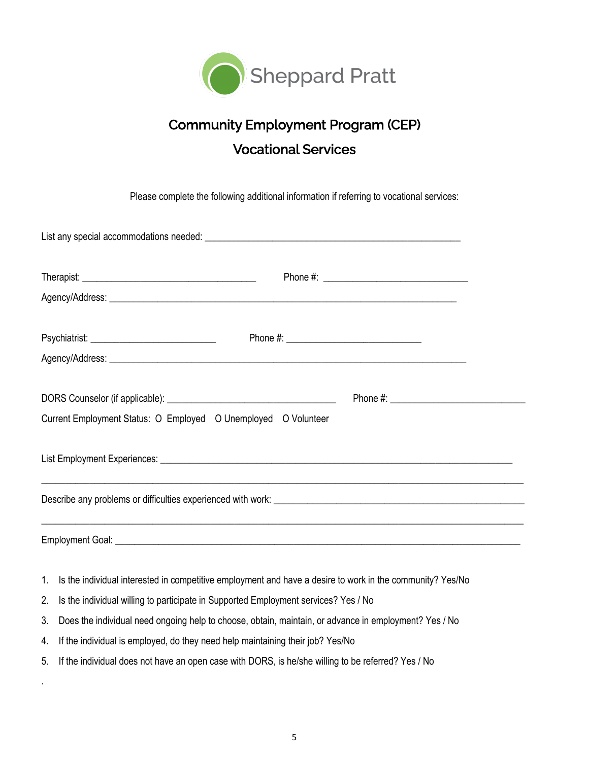

# Community Employment Program (CEP) Vocational Services

Please complete the following additional information if referring to vocational services:

| Current Employment Status: O Employed O Unemployed O Volunteer                                               |                                                                                   |
|--------------------------------------------------------------------------------------------------------------|-----------------------------------------------------------------------------------|
|                                                                                                              |                                                                                   |
|                                                                                                              |                                                                                   |
|                                                                                                              | ,我们也不能在这里的时候,我们也不能在这里的时候,我们也不能在这里的时候,我们也不能会在这里的时候,我们也不能会在这里的时候,我们也不能会在这里的时候,我们也不能 |
| 1. Is the individual interested in competitive employment and have a desire to work in the community? Yes/No |                                                                                   |

- 2. Is the individual willing to participate in Supported Employment services? Yes / No
- 3. Does the individual need ongoing help to choose, obtain, maintain, or advance in employment? Yes / No
- 4. If the individual is employed, do they need help maintaining their job? Yes/No

.

5. If the individual does not have an open case with DORS, is he/she willing to be referred? Yes / No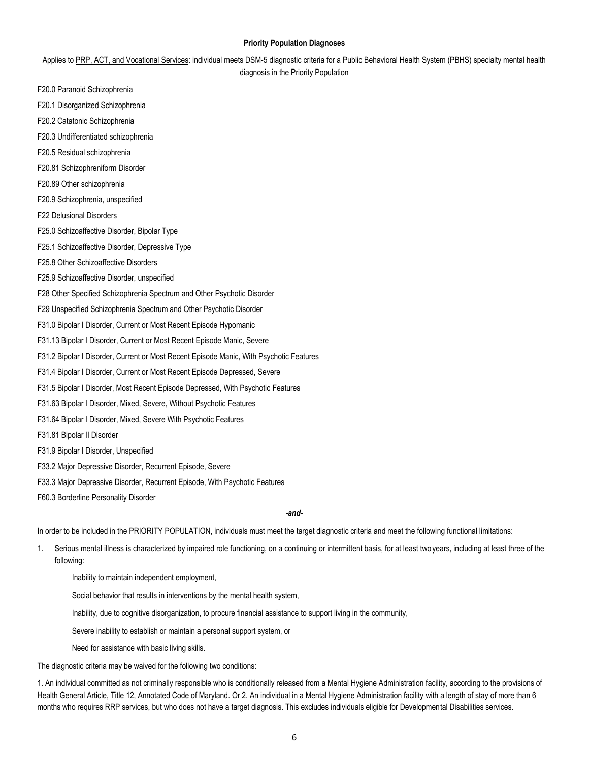#### **Priority Population Diagnoses**

Applies to PRP, ACT, and Vocational Services: individual meets DSM-5 diagnostic criteria for a Public Behavioral Health System (PBHS) specialty mental health diagnosis in the Priority Population

- F20.0 Paranoid Schizophrenia
- F20.1 Disorganized Schizophrenia
- F20.2 Catatonic Schizophrenia
- F20.3 Undifferentiated schizophrenia
- F20.5 Residual schizophrenia
- F20.81 Schizophreniform Disorder
- F20.89 Other schizophrenia
- F20.9 Schizophrenia, unspecified
- F22 Delusional Disorders
- F25.0 Schizoaffective Disorder, Bipolar Type
- F25.1 Schizoaffective Disorder, Depressive Type
- F25.8 Other Schizoaffective Disorders
- F25.9 Schizoaffective Disorder, unspecified
- F28 Other Specified Schizophrenia Spectrum and Other Psychotic Disorder
- F29 Unspecified Schizophrenia Spectrum and Other Psychotic Disorder
- F31.0 Bipolar I Disorder, Current or Most Recent Episode Hypomanic
- F31.13 Bipolar I Disorder, Current or Most Recent Episode Manic, Severe
- F31.2 Bipolar I Disorder, Current or Most Recent Episode Manic, With Psychotic Features
- F31.4 Bipolar I Disorder, Current or Most Recent Episode Depressed, Severe
- F31.5 Bipolar I Disorder, Most Recent Episode Depressed, With Psychotic Features
- F31.63 Bipolar I Disorder, Mixed, Severe, Without Psychotic Features
- F31.64 Bipolar I Disorder, Mixed, Severe With Psychotic Features
- F31.81 Bipolar II Disorder
- F31.9 Bipolar I Disorder, Unspecified
- F33.2 Major Depressive Disorder, Recurrent Episode, Severe
- F33.3 Major Depressive Disorder, Recurrent Episode, With Psychotic Features
- F60.3 Borderline Personality Disorder

#### *-and-*

In order to be included in the PRIORITY POPULATION, individuals must meet the target diagnostic criteria and meet the following functional limitations:

- 1. Serious mental illness is characterized by impaired role functioning, on a continuing or intermittent basis, for at least two years, including at least three of the following:
	- Inability to maintain independent employment,
	- Social behavior that results in interventions by the mental health system,
	- Inability, due to cognitive disorganization, to procure financial assistance to support living in the community,
	- Severe inability to establish or maintain a personal support system, or
	- Need for assistance with basic living skills.
- The diagnostic criteria may be waived for the following two conditions:

1. An individual committed as not criminally responsible who is conditionally released from a Mental Hygiene Administration facility, according to the provisions of Health General Article, Title 12, Annotated Code of Maryland. Or 2. An individual in a Mental Hygiene Administration facility with a length of stay of more than 6 months who requires RRP services, but who does not have a target diagnosis. This excludes individuals eligible for Developmental Disabilities services.